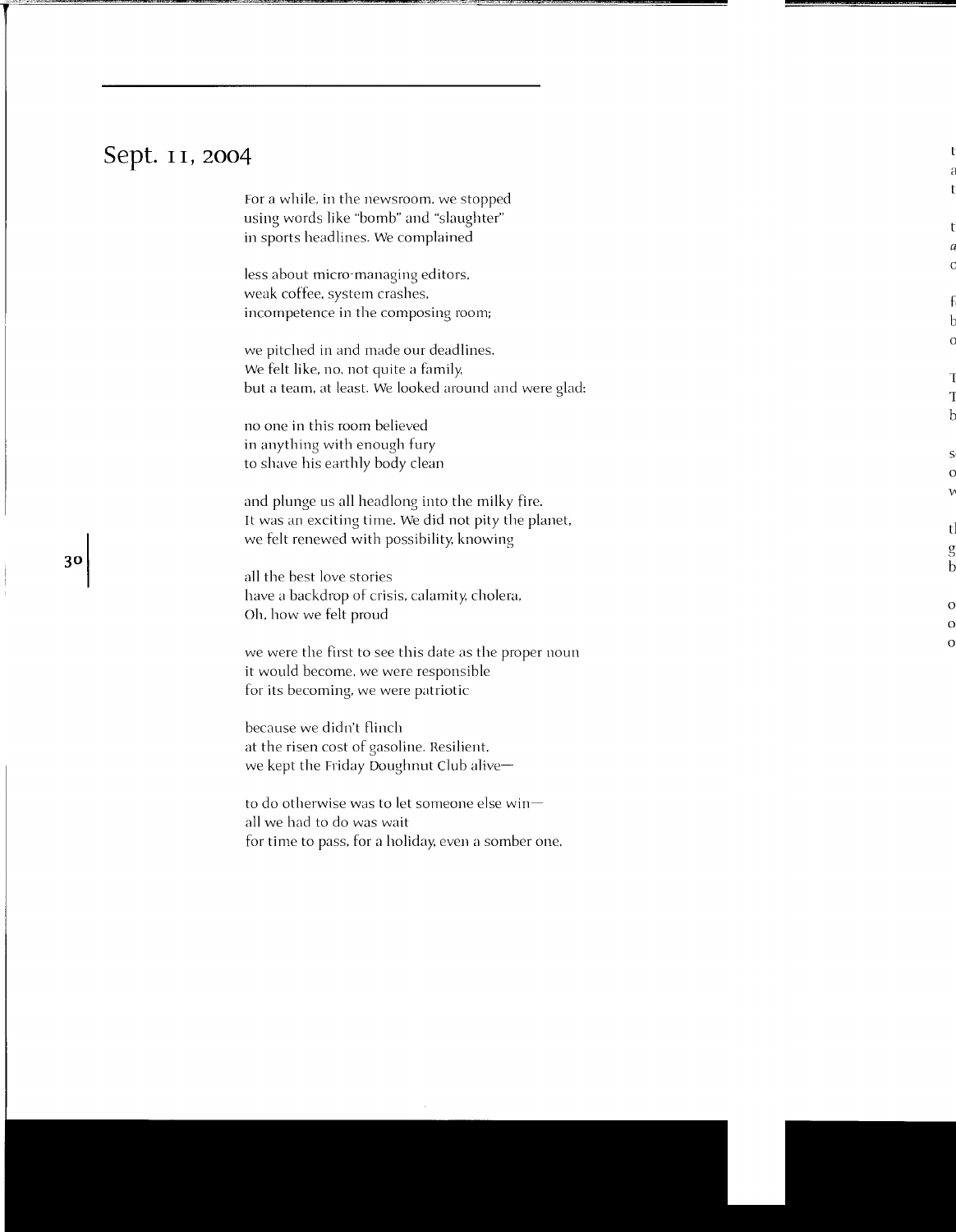## **Sept.** I I, **zoo4**

For a while, in the newsroom, we stopped using words like "bomb" and "slaughter" in sports headlines. We complained

less about micro-managing editors, weak coffee, system crashes. incompetence in the composing room;

we pitched in and made our deadlines. We felt like, no, not quite a family, but a team, at least. We looked around and were glad:

no one in this room believed in anything with enough fury to shave his earthly body clean

and plunge us all headlong into the milky fire. It was an exciting time. We did not pity the planet. we felt renewed with possibility. knowing

all the best love stories have a backdrop of crisis, calamity. cholera, oh. how we felt proud

we were the first to see this date as the proper noun it would become, we were responsible for its becoming. we were patriotic

because we didn't flinch at the risen cost of gasoline. Resilient. we kept the Friday Doughnut Club alive-

to do otherwise was to let someone else win $$ all we had to do was wait for time to pass, for a holiday, even a somber one,